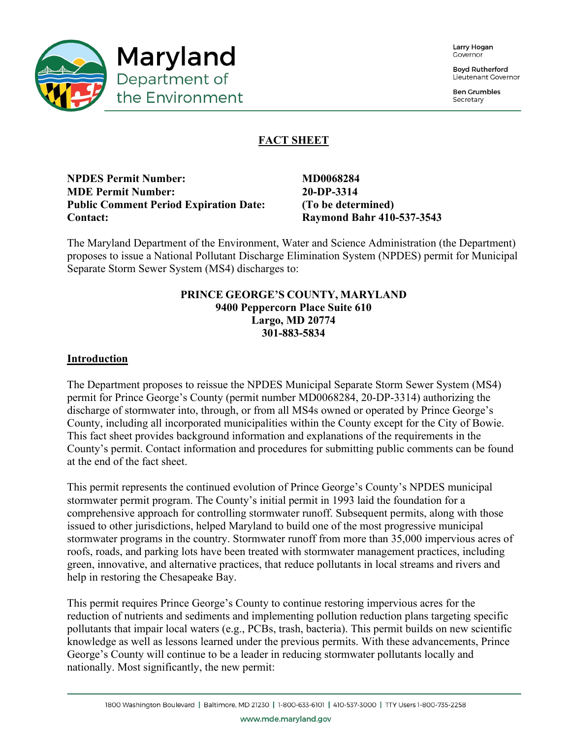

Larry Hogan Covernor

**Boyd Rutherford** Lieutenant Governor

**Ben Grumbles** Secretary

# **FACT SHEET**

**NPDES Permit Number:** MD0068284 **MDE Permit Number: 20-DP-3314 Public Comment Period Expiration Date: (To be determined) Contact: Raymond Bahr 410-537-3543**

The Maryland Department of the Environment, Water and Science Administration (the Department) proposes to issue a National Pollutant Discharge Elimination System (NPDES) permit for Municipal Separate Storm Sewer System (MS4) discharges to:

# **PRINCE GEORGE'S COUNTY, MARYLAND 9400 Peppercorn Place Suite 610 Largo, MD 20774 301-883-5834**

### **Introduction**

The Department proposes to reissue the NPDES Municipal Separate Storm Sewer System (MS4) permit for Prince George's County (permit number MD0068284, 20-DP-3314) authorizing the discharge of stormwater into, through, or from all MS4s owned or operated by Prince George's County, including all incorporated municipalities within the County except for the City of Bowie. This fact sheet provides background information and explanations of the requirements in the County's permit. Contact information and procedures for submitting public comments can be found at the end of the fact sheet.

This permit represents the continued evolution of Prince George's County's NPDES municipal stormwater permit program. The County's initial permit in 1993 laid the foundation for a comprehensive approach for controlling stormwater runoff. Subsequent permits, along with those issued to other jurisdictions, helped Maryland to build one of the most progressive municipal stormwater programs in the country. Stormwater runoff from more than 35,000 impervious acres of roofs, roads, and parking lots have been treated with stormwater management practices, including green, innovative, and alternative practices, that reduce pollutants in local streams and rivers and help in restoring the Chesapeake Bay.

This permit requires Prince George's County to continue restoring impervious acres for the reduction of nutrients and sediments and implementing pollution reduction plans targeting specific pollutants that impair local waters (e.g., PCBs, trash, bacteria). This permit builds on new scientific knowledge as well as lessons learned under the previous permits. With these advancements, Prince George's County will continue to be a leader in reducing stormwater pollutants locally and nationally. Most significantly, the new permit: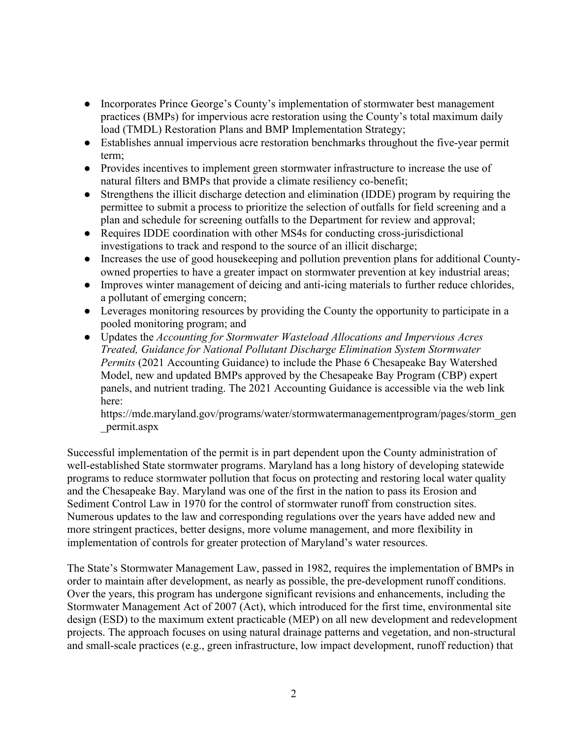- Incorporates Prince George's County's implementation of stormwater best management practices (BMPs) for impervious acre restoration using the County's total maximum daily load (TMDL) Restoration Plans and BMP Implementation Strategy;
- Establishes annual impervious acre restoration benchmarks throughout the five-year permit term;
- Provides incentives to implement green stormwater infrastructure to increase the use of natural filters and BMPs that provide a climate resiliency co-benefit;
- Strengthens the illicit discharge detection and elimination (IDDE) program by requiring the permittee to submit a process to prioritize the selection of outfalls for field screening and a plan and schedule for screening outfalls to the Department for review and approval;
- Requires IDDE coordination with other MS4s for conducting cross-jurisdictional investigations to track and respond to the source of an illicit discharge;
- Increases the use of good housekeeping and pollution prevention plans for additional Countyowned properties to have a greater impact on stormwater prevention at key industrial areas;
- Improves winter management of deicing and anti-icing materials to further reduce chlorides, a pollutant of emerging concern;
- Leverages monitoring resources by providing the County the opportunity to participate in a pooled monitoring program; and
- Updates the *Accounting for Stormwater Wasteload Allocations and Impervious Acres Treated, Guidance for National Pollutant Discharge Elimination System Stormwater Permits* (2021 Accounting Guidance) to include the Phase 6 Chesapeake Bay Watershed Model, new and updated BMPs approved by the Chesapeake Bay Program (CBP) expert panels, and nutrient trading. The 2021 Accounting Guidance is accessible via the web link here:

https://mde.maryland.gov/programs/water/stormwatermanagementprogram/pages/storm\_gen \_permit.aspx

Successful implementation of the permit is in part dependent upon the County administration of well-established State stormwater programs. Maryland has a long history of developing statewide programs to reduce stormwater pollution that focus on protecting and restoring local water quality and the Chesapeake Bay. Maryland was one of the first in the nation to pass its Erosion and Sediment Control Law in 1970 for the control of stormwater runoff from construction sites. Numerous updates to the law and corresponding regulations over the years have added new and more stringent practices, better designs, more volume management, and more flexibility in implementation of controls for greater protection of Maryland's water resources.

The State's Stormwater Management Law, passed in 1982, requires the implementation of BMPs in order to maintain after development, as nearly as possible, the pre-development runoff conditions. Over the years, this program has undergone significant revisions and enhancements, including the Stormwater Management Act of 2007 (Act), which introduced for the first time, environmental site design (ESD) to the maximum extent practicable (MEP) on all new development and redevelopment projects. The approach focuses on using natural drainage patterns and vegetation, and non-structural and small-scale practices (e.g., green infrastructure, low impact development, runoff reduction) that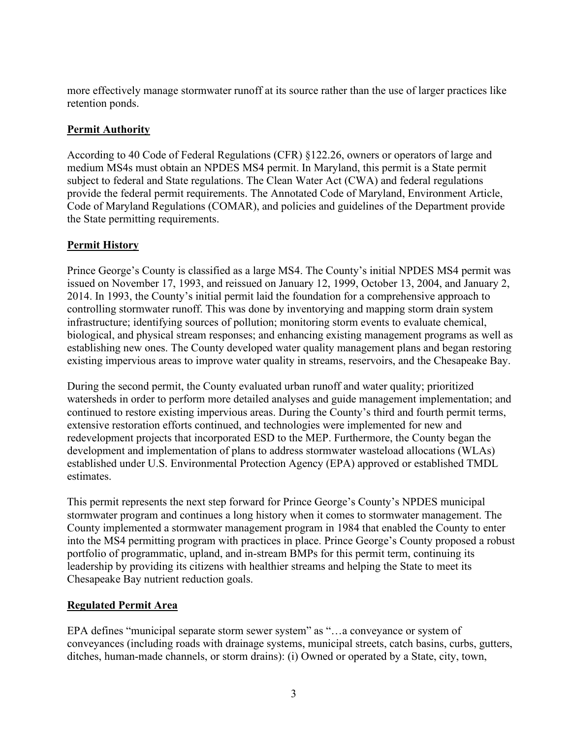more effectively manage stormwater runoff at its source rather than the use of larger practices like retention ponds.

# **Permit Authority**

According to 40 Code of Federal Regulations (CFR) §122.26, owners or operators of large and medium MS4s must obtain an NPDES MS4 permit. In Maryland, this permit is a State permit subject to federal and State regulations. The Clean Water Act (CWA) and federal regulations provide the federal permit requirements. The Annotated Code of Maryland, Environment Article, Code of Maryland Regulations (COMAR), and policies and guidelines of the Department provide the State permitting requirements.

# **Permit History**

Prince George's County is classified as a large MS4. The County's initial NPDES MS4 permit was issued on November 17, 1993, and reissued on January 12, 1999, October 13, 2004, and January 2, 2014. In 1993, the County's initial permit laid the foundation for a comprehensive approach to controlling stormwater runoff. This was done by inventorying and mapping storm drain system infrastructure; identifying sources of pollution; monitoring storm events to evaluate chemical, biological, and physical stream responses; and enhancing existing management programs as well as establishing new ones. The County developed water quality management plans and began restoring existing impervious areas to improve water quality in streams, reservoirs, and the Chesapeake Bay.

During the second permit, the County evaluated urban runoff and water quality; prioritized watersheds in order to perform more detailed analyses and guide management implementation; and continued to restore existing impervious areas. During the County's third and fourth permit terms, extensive restoration efforts continued, and technologies were implemented for new and redevelopment projects that incorporated ESD to the MEP. Furthermore, the County began the development and implementation of plans to address stormwater wasteload allocations (WLAs) established under U.S. Environmental Protection Agency (EPA) approved or established TMDL estimates.

This permit represents the next step forward for Prince George's County's NPDES municipal stormwater program and continues a long history when it comes to stormwater management. The County implemented a stormwater management program in 1984 that enabled the County to enter into the MS4 permitting program with practices in place. Prince George's County proposed a robust portfolio of programmatic, upland, and in-stream BMPs for this permit term, continuing its leadership by providing its citizens with healthier streams and helping the State to meet its Chesapeake Bay nutrient reduction goals.

# **Regulated Permit Area**

EPA defines "municipal separate storm sewer system" as "…a conveyance or system of conveyances (including roads with drainage systems, municipal streets, catch basins, curbs, gutters, ditches, human-made channels, or storm drains): (i) Owned or operated by a State, city, town,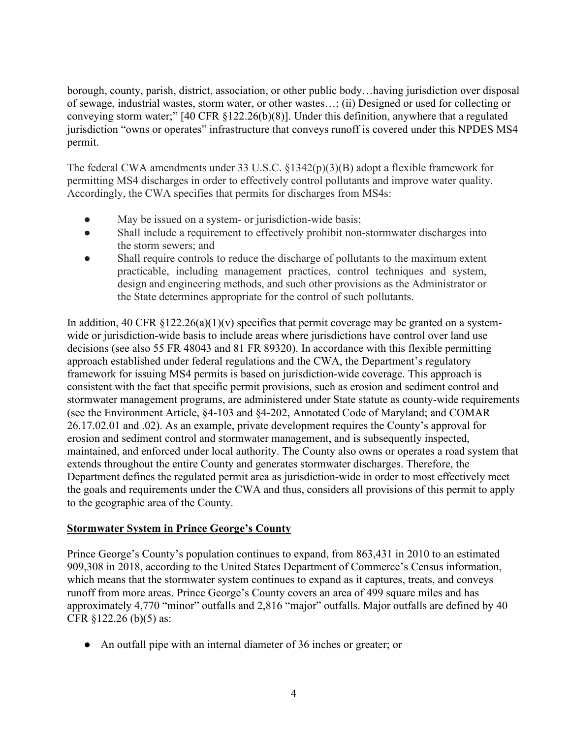borough, county, parish, district, association, or other public body…having jurisdiction over disposal of sewage, industrial wastes, storm water, or other wastes…; (ii) Designed or used for collecting or conveying storm water;" [40 CFR §122.26(b)(8)]. Under this definition, anywhere that a regulated jurisdiction "owns or operates" infrastructure that conveys runoff is covered under this NPDES MS4 permit.

The federal CWA amendments under 33 U.S.C. §1342(p)(3)(B) adopt a flexible framework for permitting MS4 discharges in order to effectively control pollutants and improve water quality. Accordingly, the CWA specifies that permits for discharges from MS4s:

- May be issued on a system- or jurisdiction-wide basis;
- Shall include a requirement to effectively prohibit non-stormwater discharges into the storm sewers; and
- Shall require controls to reduce the discharge of pollutants to the maximum extent practicable, including management practices, control techniques and system, design and engineering methods, and such other provisions as the Administrator or the State determines appropriate for the control of such pollutants.

In addition, 40 CFR  $\S 122.26(a)(1)(v)$  specifies that permit coverage may be granted on a systemwide or jurisdiction-wide basis to include areas where jurisdictions have control over land use decisions (see also 55 FR 48043 and 81 FR 89320). In accordance with this flexible permitting approach established under federal regulations and the CWA, the Department's regulatory framework for issuing MS4 permits is based on jurisdiction-wide coverage. This approach is consistent with the fact that specific permit provisions, such as erosion and sediment control and stormwater management programs, are administered under State statute as county-wide requirements (see the Environment Article, §4-103 and §4-202, Annotated Code of Maryland; and COMAR 26.17.02.01 and .02). As an example, private development requires the County's approval for erosion and sediment control and stormwater management, and is subsequently inspected, maintained, and enforced under local authority. The County also owns or operates a road system that extends throughout the entire County and generates stormwater discharges. Therefore, the Department defines the regulated permit area as jurisdiction-wide in order to most effectively meet the goals and requirements under the CWA and thus, considers all provisions of this permit to apply to the geographic area of the County.

# **Stormwater System in Prince George's County**

Prince George's County's population continues to expand, from 863,431 in 2010 to an estimated 909,308 in 2018, according to the United States Department of Commerce's Census information, which means that the stormwater system continues to expand as it captures, treats, and conveys runoff from more areas. Prince George's County covers an area of 499 square miles and has approximately 4,770 "minor" outfalls and 2,816 "major" outfalls. Major outfalls are defined by 40 CFR §122.26 (b)(5) as:

● An outfall pipe with an internal diameter of 36 inches or greater; or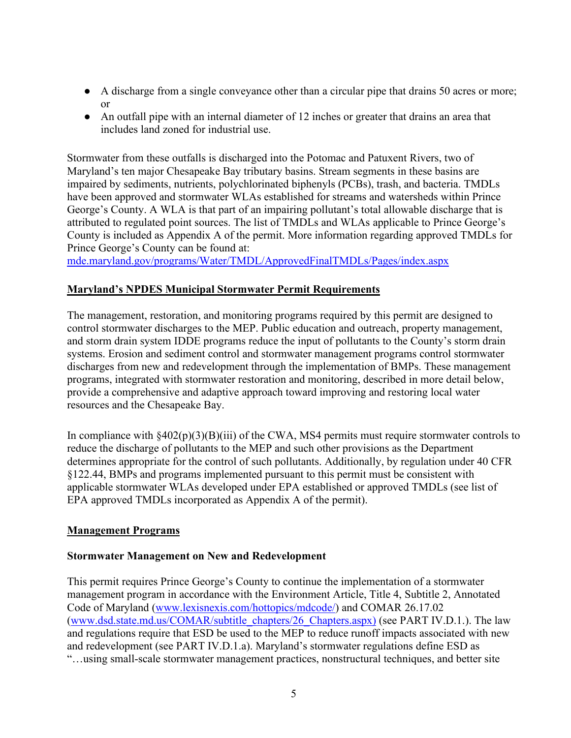- A discharge from a single conveyance other than a circular pipe that drains 50 acres or more; or
- An outfall pipe with an internal diameter of 12 inches or greater that drains an area that includes land zoned for industrial use.

Stormwater from these outfalls is discharged into the Potomac and Patuxent Rivers, two of Maryland's ten major Chesapeake Bay tributary basins. Stream segments in these basins are impaired by sediments, nutrients, polychlorinated biphenyls (PCBs), trash, and bacteria. TMDLs have been approved and stormwater WLAs established for streams and watersheds within Prince George's County. A WLA is that part of an impairing pollutant's total allowable discharge that is attributed to regulated point sources. The list of TMDLs and WLAs applicable to Prince George's County is included as Appendix A of the permit. More information regarding approved TMDLs for Prince George's County can be found at:

[mde.maryland.gov/programs/Water/TMDL/ApprovedFinalTMDLs/Pages/index.aspx](about:blank)

# **Maryland's NPDES Municipal Stormwater Permit Requirements**

The management, restoration, and monitoring programs required by this permit are designed to control stormwater discharges to the MEP. Public education and outreach, property management, and storm drain system IDDE programs reduce the input of pollutants to the County's storm drain systems. Erosion and sediment control and stormwater management programs control stormwater discharges from new and redevelopment through the implementation of BMPs. These management programs, integrated with stormwater restoration and monitoring, described in more detail below, provide a comprehensive and adaptive approach toward improving and restoring local water resources and the Chesapeake Bay.

In compliance with  $§402(p)(3)(B)(iii)$  of the CWA, MS4 permits must require stormwater controls to reduce the discharge of pollutants to the MEP and such other provisions as the Department determines appropriate for the control of such pollutants. Additionally, by regulation under 40 CFR §122.44, BMPs and programs implemented pursuant to this permit must be consistent with applicable stormwater WLAs developed under EPA established or approved TMDLs (see list of EPA approved TMDLs incorporated as Appendix A of the permit).

# **Management Programs**

# **Stormwater Management on New and Redevelopment**

This permit requires Prince George's County to continue the implementation of a stormwater management program in accordance with the Environment Article, Title 4, Subtitle 2, Annotated Code of Maryland [\(www.lexisnexis.com/hottopics/mdcode/\)](about:blank) and COMAR 26.17.02 [\(www.dsd.state.md.us/COMAR/subtitle\\_chapters/26\\_Chapters.aspx\)](about:blank) (see PART IV.D.1.). The law and regulations require that ESD be used to the MEP to reduce runoff impacts associated with new and redevelopment (see PART IV.D.1.a). Maryland's stormwater regulations define ESD as "…using small-scale stormwater management practices, nonstructural techniques, and better site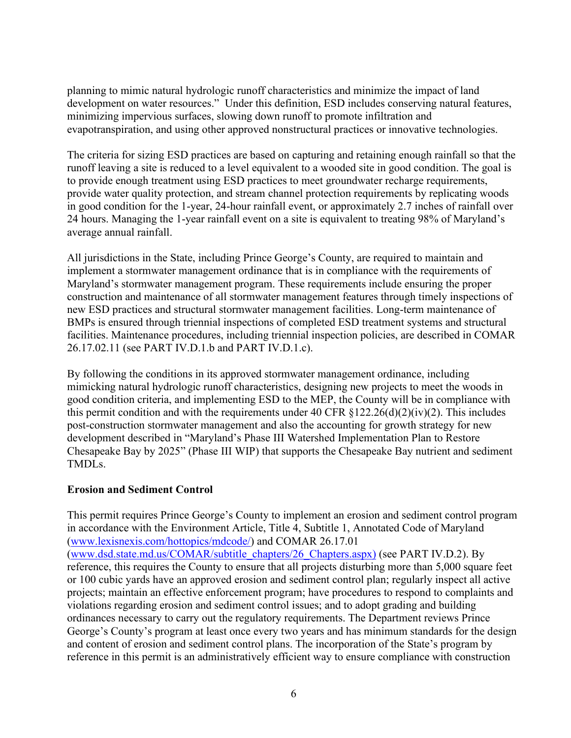planning to mimic natural hydrologic runoff characteristics and minimize the impact of land development on water resources." Under this definition, ESD includes conserving natural features, minimizing impervious surfaces, slowing down runoff to promote infiltration and evapotranspiration, and using other approved nonstructural practices or innovative technologies.

The criteria for sizing ESD practices are based on capturing and retaining enough rainfall so that the runoff leaving a site is reduced to a level equivalent to a wooded site in good condition. The goal is to provide enough treatment using ESD practices to meet groundwater recharge requirements, provide water quality protection, and stream channel protection requirements by replicating woods in good condition for the 1-year, 24-hour rainfall event, or approximately 2.7 inches of rainfall over 24 hours. Managing the 1-year rainfall event on a site is equivalent to treating 98% of Maryland's average annual rainfall.

All jurisdictions in the State, including Prince George's County, are required to maintain and implement a stormwater management ordinance that is in compliance with the requirements of Maryland's stormwater management program. These requirements include ensuring the proper construction and maintenance of all stormwater management features through timely inspections of new ESD practices and structural stormwater management facilities. Long-term maintenance of BMPs is ensured through triennial inspections of completed ESD treatment systems and structural facilities. Maintenance procedures, including triennial inspection policies, are described in COMAR 26.17.02.11 (see PART IV.D.1.b and PART IV.D.1.c).

By following the conditions in its approved stormwater management ordinance, including mimicking natural hydrologic runoff characteristics, designing new projects to meet the woods in good condition criteria, and implementing ESD to the MEP, the County will be in compliance with this permit condition and with the requirements under 40 CFR  $\S 122.26(d)(2)(iv)(2)$ . This includes post-construction stormwater management and also the accounting for growth strategy for new development described in "Maryland's Phase III Watershed Implementation Plan to Restore Chesapeake Bay by 2025" (Phase III WIP) that supports the Chesapeake Bay nutrient and sediment TMDLs.

# **Erosion and Sediment Control**

This permit requires Prince George's County to implement an erosion and sediment control program in accordance with the Environment Article, Title 4, Subtitle 1, Annotated Code of Maryland [\(www.lexisnexis.com/hottopics/mdcode/\)](about:blank) and COMAR 26.17.01 [\(www.dsd.state.md.us/COMAR/subtitle\\_chapters/26\\_Chapters.aspx\)](about:blank) (see PART IV.D.2). By reference, this requires the County to ensure that all projects disturbing more than 5,000 square feet or 100 cubic yards have an approved erosion and sediment control plan; regularly inspect all active projects; maintain an effective enforcement program; have procedures to respond to complaints and violations regarding erosion and sediment control issues; and to adopt grading and building ordinances necessary to carry out the regulatory requirements. The Department reviews Prince George's County's program at least once every two years and has minimum standards for the design and content of erosion and sediment control plans. The incorporation of the State's program by reference in this permit is an administratively efficient way to ensure compliance with construction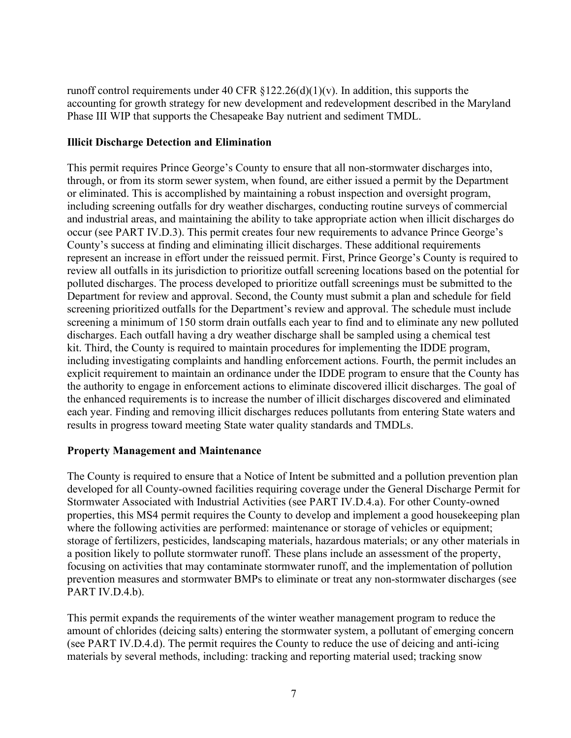runoff control requirements under 40 CFR  $\S 122.26(d)(1)(v)$ . In addition, this supports the accounting for growth strategy for new development and redevelopment described in the Maryland Phase III WIP that supports the Chesapeake Bay nutrient and sediment TMDL.

### **Illicit Discharge Detection and Elimination**

This permit requires Prince George's County to ensure that all non-stormwater discharges into, through, or from its storm sewer system, when found, are either issued a permit by the Department or eliminated. This is accomplished by maintaining a robust inspection and oversight program, including screening outfalls for dry weather discharges, conducting routine surveys of commercial and industrial areas, and maintaining the ability to take appropriate action when illicit discharges do occur (see PART IV.D.3). This permit creates four new requirements to advance Prince George's County's success at finding and eliminating illicit discharges. These additional requirements represent an increase in effort under the reissued permit. First, Prince George's County is required to review all outfalls in its jurisdiction to prioritize outfall screening locations based on the potential for polluted discharges. The process developed to prioritize outfall screenings must be submitted to the Department for review and approval. Second, the County must submit a plan and schedule for field screening prioritized outfalls for the Department's review and approval. The schedule must include screening a minimum of 150 storm drain outfalls each year to find and to eliminate any new polluted discharges. Each outfall having a dry weather discharge shall be sampled using a chemical test kit. Third, the County is required to maintain procedures for implementing the IDDE program, including investigating complaints and handling enforcement actions. Fourth, the permit includes an explicit requirement to maintain an ordinance under the IDDE program to ensure that the County has the authority to engage in enforcement actions to eliminate discovered illicit discharges. The goal of the enhanced requirements is to increase the number of illicit discharges discovered and eliminated each year. Finding and removing illicit discharges reduces pollutants from entering State waters and results in progress toward meeting State water quality standards and TMDLs.

#### **Property Management and Maintenance**

The County is required to ensure that a Notice of Intent be submitted and a pollution prevention plan developed for all County-owned facilities requiring coverage under the General Discharge Permit for Stormwater Associated with Industrial Activities (see PART IV.D.4.a). For other County-owned properties, this MS4 permit requires the County to develop and implement a good housekeeping plan where the following activities are performed: maintenance or storage of vehicles or equipment; storage of fertilizers, pesticides, landscaping materials, hazardous materials; or any other materials in a position likely to pollute stormwater runoff. These plans include an assessment of the property, focusing on activities that may contaminate stormwater runoff, and the implementation of pollution prevention measures and stormwater BMPs to eliminate or treat any non-stormwater discharges (see PART IV.D.4.b).

This permit expands the requirements of the winter weather management program to reduce the amount of chlorides (deicing salts) entering the stormwater system, a pollutant of emerging concern (see PART IV.D.4.d). The permit requires the County to reduce the use of deicing and anti-icing materials by several methods, including: tracking and reporting material used; tracking snow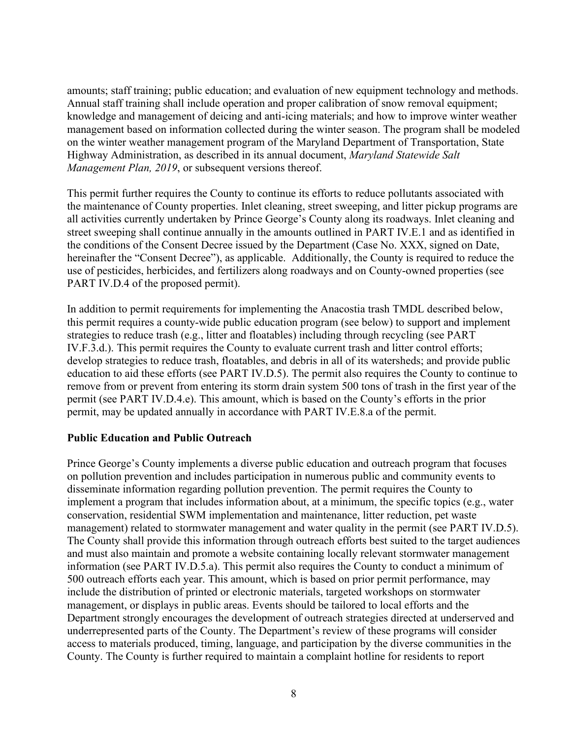amounts; staff training; public education; and evaluation of new equipment technology and methods. Annual staff training shall include operation and proper calibration of snow removal equipment; knowledge and management of deicing and anti-icing materials; and how to improve winter weather management based on information collected during the winter season. The program shall be modeled on the winter weather management program of the Maryland Department of Transportation, State Highway Administration, as described in its annual document, *Maryland Statewide Salt Management Plan, 2019*, or subsequent versions thereof.

This permit further requires the County to continue its efforts to reduce pollutants associated with the maintenance of County properties. Inlet cleaning, street sweeping, and litter pickup programs are all activities currently undertaken by Prince George's County along its roadways. Inlet cleaning and street sweeping shall continue annually in the amounts outlined in PART IV.E.1 and as identified in the conditions of the Consent Decree issued by the Department (Case No. XXX, signed on Date, hereinafter the "Consent Decree"), as applicable. Additionally, the County is required to reduce the use of pesticides, herbicides, and fertilizers along roadways and on County-owned properties (see PART IV.D.4 of the proposed permit).

In addition to permit requirements for implementing the Anacostia trash TMDL described below, this permit requires a county-wide public education program (see below) to support and implement strategies to reduce trash (e.g., litter and floatables) including through recycling (see PART IV.F.3.d.). This permit requires the County to evaluate current trash and litter control efforts; develop strategies to reduce trash, floatables, and debris in all of its watersheds; and provide public education to aid these efforts (see PART IV.D.5). The permit also requires the County to continue to remove from or prevent from entering its storm drain system 500 tons of trash in the first year of the permit (see PART IV.D.4.e). This amount, which is based on the County's efforts in the prior permit, may be updated annually in accordance with PART IV.E.8.a of the permit.

# **Public Education and Public Outreach**

Prince George's County implements a diverse public education and outreach program that focuses on pollution prevention and includes participation in numerous public and community events to disseminate information regarding pollution prevention. The permit requires the County to implement a program that includes information about, at a minimum, the specific topics (e.g., water conservation, residential SWM implementation and maintenance, litter reduction, pet waste management) related to stormwater management and water quality in the permit (see PART IV.D.5). The County shall provide this information through outreach efforts best suited to the target audiences and must also maintain and promote a website containing locally relevant stormwater management information (see PART IV.D.5.a). This permit also requires the County to conduct a minimum of 500 outreach efforts each year. This amount, which is based on prior permit performance, may include the distribution of printed or electronic materials, targeted workshops on stormwater management, or displays in public areas. Events should be tailored to local efforts and the Department strongly encourages the development of outreach strategies directed at underserved and underrepresented parts of the County. The Department's review of these programs will consider access to materials produced, timing, language, and participation by the diverse communities in the County. The County is further required to maintain a complaint hotline for residents to report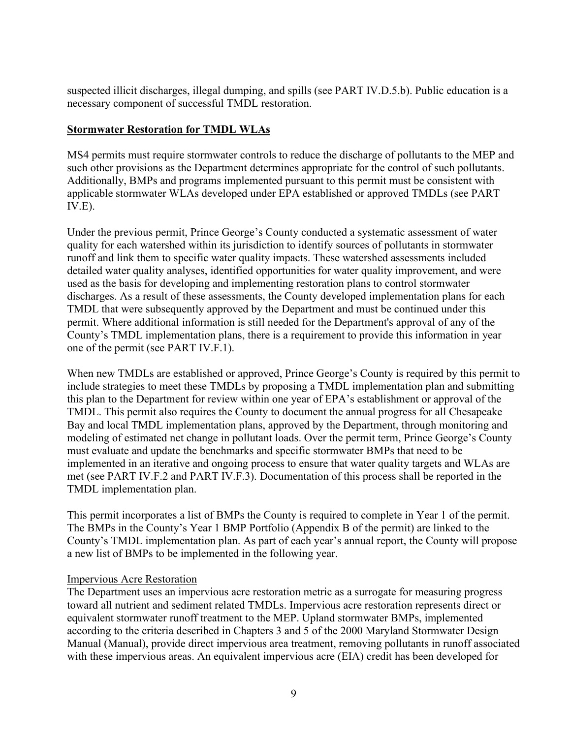suspected illicit discharges, illegal dumping, and spills (see PART IV.D.5.b). Public education is a necessary component of successful TMDL restoration.

### **Stormwater Restoration for TMDL WLAs**

MS4 permits must require stormwater controls to reduce the discharge of pollutants to the MEP and such other provisions as the Department determines appropriate for the control of such pollutants. Additionally, BMPs and programs implemented pursuant to this permit must be consistent with applicable stormwater WLAs developed under EPA established or approved TMDLs (see PART IV.E).

Under the previous permit, Prince George's County conducted a systematic assessment of water quality for each watershed within its jurisdiction to identify sources of pollutants in stormwater runoff and link them to specific water quality impacts. These watershed assessments included detailed water quality analyses, identified opportunities for water quality improvement, and were used as the basis for developing and implementing restoration plans to control stormwater discharges. As a result of these assessments, the County developed implementation plans for each TMDL that were subsequently approved by the Department and must be continued under this permit. Where additional information is still needed for the Department's approval of any of the County's TMDL implementation plans, there is a requirement to provide this information in year one of the permit (see PART IV.F.1).

When new TMDLs are established or approved, Prince George's County is required by this permit to include strategies to meet these TMDLs by proposing a TMDL implementation plan and submitting this plan to the Department for review within one year of EPA's establishment or approval of the TMDL. This permit also requires the County to document the annual progress for all Chesapeake Bay and local TMDL implementation plans, approved by the Department, through monitoring and modeling of estimated net change in pollutant loads. Over the permit term, Prince George's County must evaluate and update the benchmarks and specific stormwater BMPs that need to be implemented in an iterative and ongoing process to ensure that water quality targets and WLAs are met (see PART IV.F.2 and PART IV.F.3). Documentation of this process shall be reported in the TMDL implementation plan.

This permit incorporates a list of BMPs the County is required to complete in Year 1 of the permit. The BMPs in the County's Year 1 BMP Portfolio (Appendix B of the permit) are linked to the County's TMDL implementation plan. As part of each year's annual report, the County will propose a new list of BMPs to be implemented in the following year.

#### Impervious Acre Restoration

The Department uses an impervious acre restoration metric as a surrogate for measuring progress toward all nutrient and sediment related TMDLs. Impervious acre restoration represents direct or equivalent stormwater runoff treatment to the MEP. Upland stormwater BMPs, implemented according to the criteria described in Chapters 3 and 5 of the 2000 Maryland Stormwater Design Manual (Manual), provide direct impervious area treatment, removing pollutants in runoff associated with these impervious areas. An equivalent impervious acre (EIA) credit has been developed for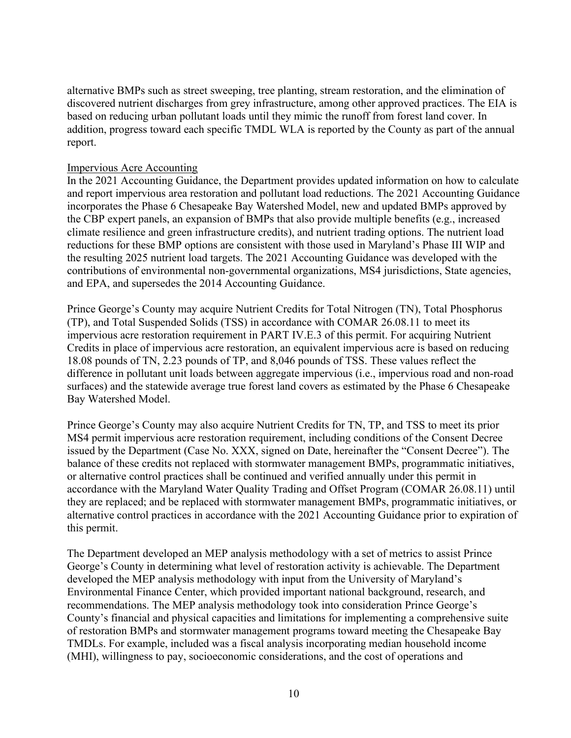alternative BMPs such as street sweeping, tree planting, stream restoration, and the elimination of discovered nutrient discharges from grey infrastructure, among other approved practices. The EIA is based on reducing urban pollutant loads until they mimic the runoff from forest land cover. In addition, progress toward each specific TMDL WLA is reported by the County as part of the annual report.

#### Impervious Acre Accounting

In the 2021 Accounting Guidance, the Department provides updated information on how to calculate and report impervious area restoration and pollutant load reductions. The 2021 Accounting Guidance incorporates the Phase 6 Chesapeake Bay Watershed Model, new and updated BMPs approved by the CBP expert panels, an expansion of BMPs that also provide multiple benefits (e.g., increased climate resilience and green infrastructure credits), and nutrient trading options. The nutrient load reductions for these BMP options are consistent with those used in Maryland's Phase III WIP and the resulting 2025 nutrient load targets. The 2021 Accounting Guidance was developed with the contributions of environmental non-governmental organizations, MS4 jurisdictions, State agencies, and EPA, and supersedes the 2014 Accounting Guidance.

Prince George's County may acquire Nutrient Credits for Total Nitrogen (TN), Total Phosphorus (TP), and Total Suspended Solids (TSS) in accordance with COMAR 26.08.11 to meet its impervious acre restoration requirement in PART IV.E.3 of this permit. For acquiring Nutrient Credits in place of impervious acre restoration, an equivalent impervious acre is based on reducing 18.08 pounds of TN, 2.23 pounds of TP, and 8,046 pounds of TSS. These values reflect the difference in pollutant unit loads between aggregate impervious (i.e., impervious road and non-road surfaces) and the statewide average true forest land covers as estimated by the Phase 6 Chesapeake Bay Watershed Model.

Prince George's County may also acquire Nutrient Credits for TN, TP, and TSS to meet its prior MS4 permit impervious acre restoration requirement, including conditions of the Consent Decree issued by the Department (Case No. XXX, signed on Date, hereinafter the "Consent Decree"). The balance of these credits not replaced with stormwater management BMPs, programmatic initiatives, or alternative control practices shall be continued and verified annually under this permit in accordance with the Maryland Water Quality Trading and Offset Program (COMAR 26.08.11) until they are replaced; and be replaced with stormwater management BMPs, programmatic initiatives, or alternative control practices in accordance with the 2021 Accounting Guidance prior to expiration of this permit.

The Department developed an MEP analysis methodology with a set of metrics to assist Prince George's County in determining what level of restoration activity is achievable. The Department developed the MEP analysis methodology with input from the University of Maryland's Environmental Finance Center, which provided important national background, research, and recommendations. The MEP analysis methodology took into consideration Prince George's County's financial and physical capacities and limitations for implementing a comprehensive suite of restoration BMPs and stormwater management programs toward meeting the Chesapeake Bay TMDLs. For example, included was a fiscal analysis incorporating median household income (MHI), willingness to pay, socioeconomic considerations, and the cost of operations and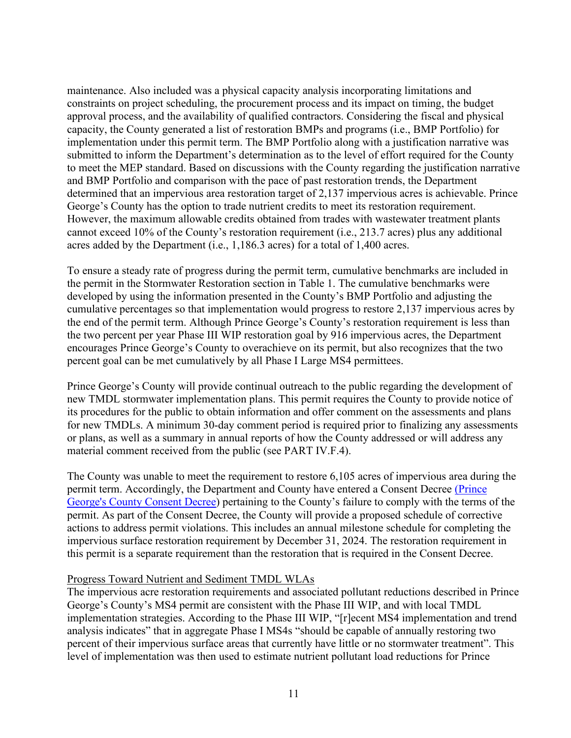maintenance. Also included was a physical capacity analysis incorporating limitations and constraints on project scheduling, the procurement process and its impact on timing, the budget approval process, and the availability of qualified contractors. Considering the fiscal and physical capacity, the County generated a list of restoration BMPs and programs (i.e., BMP Portfolio) for implementation under this permit term. The BMP Portfolio along with a justification narrative was submitted to inform the Department's determination as to the level of effort required for the County to meet the MEP standard. Based on discussions with the County regarding the justification narrative and BMP Portfolio and comparison with the pace of past restoration trends, the Department determined that an impervious area restoration target of 2,137 impervious acres is achievable. Prince George's County has the option to trade nutrient credits to meet its restoration requirement. However, the maximum allowable credits obtained from trades with wastewater treatment plants cannot exceed 10% of the County's restoration requirement (i.e., 213.7 acres) plus any additional acres added by the Department (i.e., 1,186.3 acres) for a total of 1,400 acres.

To ensure a steady rate of progress during the permit term, cumulative benchmarks are included in the permit in the Stormwater Restoration section in Table 1. The cumulative benchmarks were developed by using the information presented in the County's BMP Portfolio and adjusting the cumulative percentages so that implementation would progress to restore 2,137 impervious acres by the end of the permit term. Although Prince George's County's restoration requirement is less than the two percent per year Phase III WIP restoration goal by 916 impervious acres, the Department encourages Prince George's County to overachieve on its permit, but also recognizes that the two percent goal can be met cumulatively by all Phase I Large MS4 permittees.

Prince George's County will provide continual outreach to the public regarding the development of new TMDL stormwater implementation plans. This permit requires the County to provide notice of its procedures for the public to obtain information and offer comment on the assessments and plans for new TMDLs. A minimum 30-day comment period is required prior to finalizing any assessments or plans, as well as a summary in annual reports of how the County addressed or will address any material comment received from the public (see PART IV.F.4).

The County was unable to meet the requirement to restore 6,105 acres of impervious area during the permit term. Accordingly, the Department and County have entered a Consent Decree [\(](https://mde.maryland.gov/programs/Water/StormwaterManagementProgram/Pages/storm_gen_permit.aspx)[Prince](https://mde.maryland.gov/programs/water/StormwaterManagementProgram/Documents/Prince%20George%27s%20County%20MS4%20Consent%20Decree%20(1-28-21).pdf)  [George's County Consent Decree\)](https://mde.maryland.gov/programs/water/StormwaterManagementProgram/Documents/Prince%20George%27s%20County%20MS4%20Consent%20Decree%20(1-28-21).pdf) pertaining to the County's failure to comply with the terms of the permit. As part of the Consent Decree, the County will provide a proposed schedule of corrective actions to address permit violations. This includes an annual milestone schedule for completing the impervious surface restoration requirement by December 31, 2024. The restoration requirement in this permit is a separate requirement than the restoration that is required in the Consent Decree.

#### Progress Toward Nutrient and Sediment TMDL WLAs

The impervious acre restoration requirements and associated pollutant reductions described in Prince George's County's MS4 permit are consistent with the Phase III WIP, and with local TMDL implementation strategies. According to the Phase III WIP, "[r]ecent MS4 implementation and trend analysis indicates" that in aggregate Phase I MS4s "should be capable of annually restoring two percent of their impervious surface areas that currently have little or no stormwater treatment". This level of implementation was then used to estimate nutrient pollutant load reductions for Prince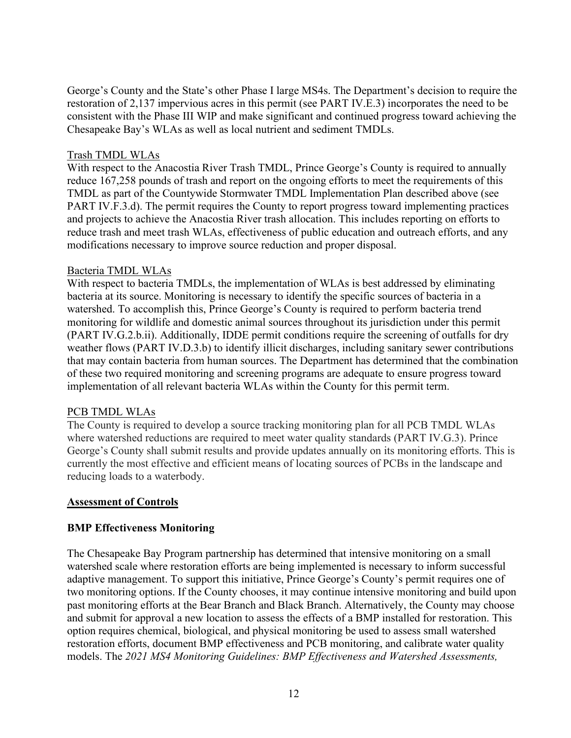George's County and the State's other Phase I large MS4s. The Department's decision to require the restoration of 2,137 impervious acres in this permit (see PART IV.E.3) incorporates the need to be consistent with the Phase III WIP and make significant and continued progress toward achieving the Chesapeake Bay's WLAs as well as local nutrient and sediment TMDLs.

#### Trash TMDL WLAs

With respect to the Anacostia River Trash TMDL, Prince George's County is required to annually reduce 167,258 pounds of trash and report on the ongoing efforts to meet the requirements of this TMDL as part of the Countywide Stormwater TMDL Implementation Plan described above (see PART IV.F.3.d). The permit requires the County to report progress toward implementing practices and projects to achieve the Anacostia River trash allocation. This includes reporting on efforts to reduce trash and meet trash WLAs, effectiveness of public education and outreach efforts, and any modifications necessary to improve source reduction and proper disposal.

#### Bacteria TMDL WLAs

With respect to bacteria TMDLs, the implementation of WLAs is best addressed by eliminating bacteria at its source. Monitoring is necessary to identify the specific sources of bacteria in a watershed. To accomplish this, Prince George's County is required to perform bacteria trend monitoring for wildlife and domestic animal sources throughout its jurisdiction under this permit (PART IV.G.2.b.ii). Additionally, IDDE permit conditions require the screening of outfalls for dry weather flows (PART IV.D.3.b) to identify illicit discharges, including sanitary sewer contributions that may contain bacteria from human sources. The Department has determined that the combination of these two required monitoring and screening programs are adequate to ensure progress toward implementation of all relevant bacteria WLAs within the County for this permit term.

#### PCB TMDL WLAs

The County is required to develop a source tracking monitoring plan for all PCB TMDL WLAs where watershed reductions are required to meet water quality standards (PART IV.G.3). Prince George's County shall submit results and provide updates annually on its monitoring efforts. This is currently the most effective and efficient means of locating sources of PCBs in the landscape and reducing loads to a waterbody.

#### **Assessment of Controls**

#### **BMP Effectiveness Monitoring**

The Chesapeake Bay Program partnership has determined that intensive monitoring on a small watershed scale where restoration efforts are being implemented is necessary to inform successful adaptive management. To support this initiative, Prince George's County's permit requires one of two monitoring options. If the County chooses, it may continue intensive monitoring and build upon past monitoring efforts at the Bear Branch and Black Branch. Alternatively, the County may choose and submit for approval a new location to assess the effects of a BMP installed for restoration. This option requires chemical, biological, and physical monitoring be used to assess small watershed restoration efforts, document BMP effectiveness and PCB monitoring, and calibrate water quality models. The *2021 MS4 Monitoring Guidelines: BMP Effectiveness and Watershed Assessments,*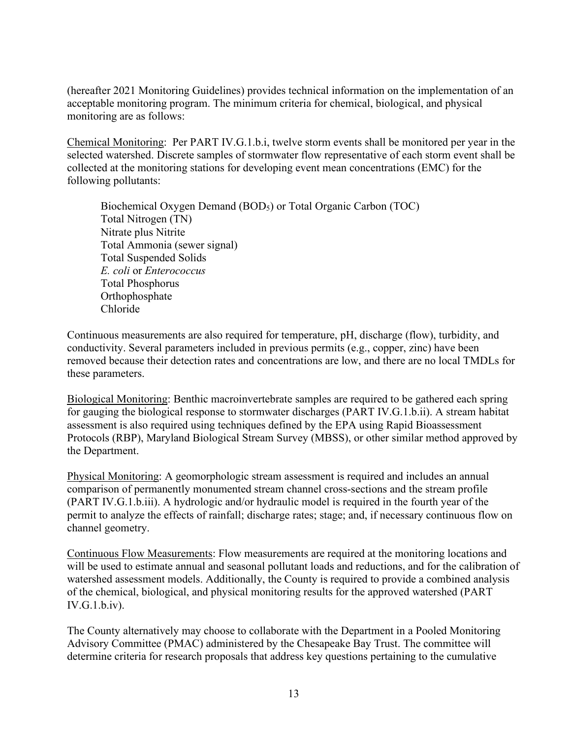(hereafter 2021 Monitoring Guidelines) provides technical information on the implementation of an acceptable monitoring program. The minimum criteria for chemical, biological, and physical monitoring are as follows:

Chemical Monitoring: Per PART IV.G.1.b.i, twelve storm events shall be monitored per year in the selected watershed. Discrete samples of stormwater flow representative of each storm event shall be collected at the monitoring stations for developing event mean concentrations (EMC) for the following pollutants:

Biochemical Oxygen Demand (BOD<sub>5</sub>) or Total Organic Carbon (TOC) Total Nitrogen (TN) Nitrate plus Nitrite Total Ammonia (sewer signal) Total Suspended Solids *E. coli* or *Enterococcus* Total Phosphorus Orthophosphate Chloride

Continuous measurements are also required for temperature, pH, discharge (flow), turbidity, and conductivity. Several parameters included in previous permits (e.g., copper, zinc) have been removed because their detection rates and concentrations are low, and there are no local TMDLs for these parameters.

Biological Monitoring: Benthic macroinvertebrate samples are required to be gathered each spring for gauging the biological response to stormwater discharges (PART IV.G.1.b.ii). A stream habitat assessment is also required using techniques defined by the EPA using Rapid Bioassessment Protocols (RBP), Maryland Biological Stream Survey (MBSS), or other similar method approved by the Department.

Physical Monitoring: A geomorphologic stream assessment is required and includes an annual comparison of permanently monumented stream channel cross-sections and the stream profile (PART IV.G.1.b.iii). A hydrologic and/or hydraulic model is required in the fourth year of the permit to analyze the effects of rainfall; discharge rates; stage; and, if necessary continuous flow on channel geometry.

Continuous Flow Measurements: Flow measurements are required at the monitoring locations and will be used to estimate annual and seasonal pollutant loads and reductions, and for the calibration of watershed assessment models. Additionally, the County is required to provide a combined analysis of the chemical, biological, and physical monitoring results for the approved watershed (PART IV.G.1.b.iv).

The County alternatively may choose to collaborate with the Department in a Pooled Monitoring Advisory Committee (PMAC) administered by the Chesapeake Bay Trust. The committee will determine criteria for research proposals that address key questions pertaining to the cumulative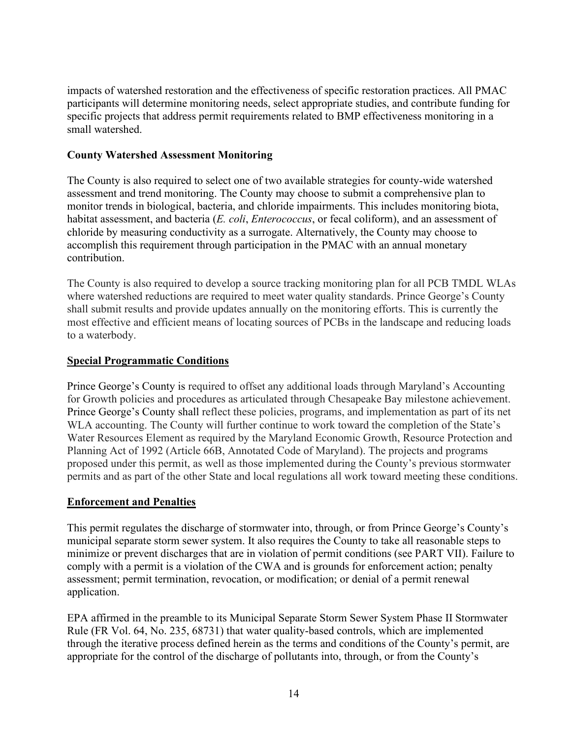impacts of watershed restoration and the effectiveness of specific restoration practices. All PMAC participants will determine monitoring needs, select appropriate studies, and contribute funding for specific projects that address permit requirements related to BMP effectiveness monitoring in a small watershed.

### **County Watershed Assessment Monitoring**

The County is also required to select one of two available strategies for county-wide watershed assessment and trend monitoring. The County may choose to submit a comprehensive plan to monitor trends in biological, bacteria, and chloride impairments. This includes monitoring biota, habitat assessment, and bacteria (*E. coli*, *Enterococcus*, or fecal coliform), and an assessment of chloride by measuring conductivity as a surrogate. Alternatively, the County may choose to accomplish this requirement through participation in the PMAC with an annual monetary contribution.

The County is also required to develop a source tracking monitoring plan for all PCB TMDL WLAs where watershed reductions are required to meet water quality standards. Prince George's County shall submit results and provide updates annually on the monitoring efforts. This is currently the most effective and efficient means of locating sources of PCBs in the landscape and reducing loads to a waterbody.

### **Special Programmatic Conditions**

Prince George's County is required to offset any additional loads through Maryland's Accounting for Growth policies and procedures as articulated through Chesapeake Bay milestone achievement. Prince George's County shall reflect these policies, programs, and implementation as part of its net WLA accounting. The County will further continue to work toward the completion of the State's Water Resources Element as required by the Maryland Economic Growth, Resource Protection and Planning Act of 1992 (Article 66B, Annotated Code of Maryland). The projects and programs proposed under this permit, as well as those implemented during the County's previous stormwater permits and as part of the other State and local regulations all work toward meeting these conditions.

# **Enforcement and Penalties**

This permit regulates the discharge of stormwater into, through, or from Prince George's County's municipal separate storm sewer system. It also requires the County to take all reasonable steps to minimize or prevent discharges that are in violation of permit conditions (see PART VII). Failure to comply with a permit is a violation of the CWA and is grounds for enforcement action; penalty assessment; permit termination, revocation, or modification; or denial of a permit renewal application.

EPA affirmed in the preamble to its Municipal Separate Storm Sewer System Phase II Stormwater Rule (FR Vol. 64, No. 235, 68731) that water quality-based controls, which are implemented through the iterative process defined herein as the terms and conditions of the County's permit, are appropriate for the control of the discharge of pollutants into, through, or from the County's